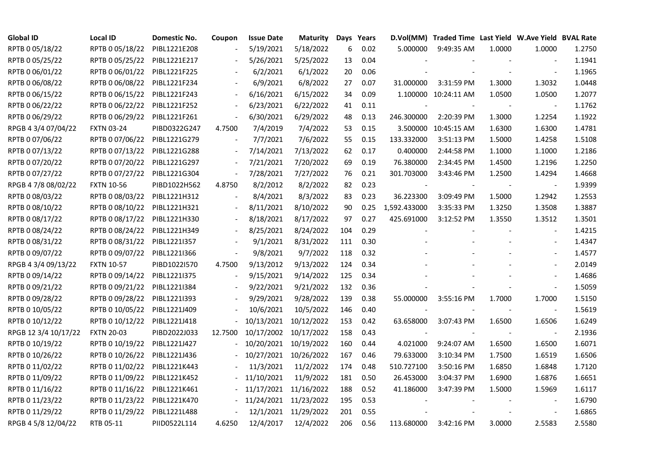| <b>Global ID</b>     | Local ID          | Domestic No. | Coupon  | <b>Issue Date</b> | <b>Maturity Days Years</b> |     |      |              | D.Vol(MM) Traded Time Last Yield W.Ave Yield BVAL Rate |        |                          |        |
|----------------------|-------------------|--------------|---------|-------------------|----------------------------|-----|------|--------------|--------------------------------------------------------|--------|--------------------------|--------|
| RPTB 0 05/18/22      | RPTB 0 05/18/22   | PIBL1221E208 |         | 5/19/2021         | 5/18/2022                  | 6   | 0.02 | 5.000000     | 9:49:35 AM                                             | 1.0000 | 1.0000                   | 1.2750 |
| RPTB 0 05/25/22      | RPTB 0 05/25/22   | PIBL1221E217 |         | 5/26/2021         | 5/25/2022                  | 13  | 0.04 |              |                                                        |        |                          | 1.1941 |
| RPTB 0 06/01/22      | RPTB 0 06/01/22   | PIBL1221F225 |         | 6/2/2021          | 6/1/2022                   | 20  | 0.06 |              |                                                        |        | $\overline{\phantom{a}}$ | 1.1965 |
| RPTB 0 06/08/22      | RPTB 0 06/08/22   | PIBL1221F234 |         | 6/9/2021          | 6/8/2022                   | 27  | 0.07 | 31.000000    | 3:31:59 PM                                             | 1.3000 | 1.3032                   | 1.0448 |
| RPTB 0 06/15/22      | RPTB 0 06/15/22   | PIBL1221F243 |         | 6/16/2021         | 6/15/2022                  | 34  | 0.09 |              | 1.100000 10:24:11 AM                                   | 1.0500 | 1.0500                   | 1.2077 |
| RPTB 0 06/22/22      | RPTB 0 06/22/22   | PIBL1221F252 |         | 6/23/2021         | 6/22/2022                  | 41  | 0.11 |              |                                                        |        |                          | 1.1762 |
| RPTB 0 06/29/22      | RPTB 0 06/29/22   | PIBL1221F261 |         | 6/30/2021         | 6/29/2022                  | 48  | 0.13 | 246.300000   | 2:20:39 PM                                             | 1.3000 | 1.2254                   | 1.1922 |
| RPGB 4 3/4 07/04/22  | <b>FXTN 03-24</b> | PIBD0322G247 | 4.7500  | 7/4/2019          | 7/4/2022                   | 53  | 0.15 |              | 3.500000 10:45:15 AM                                   | 1.6300 | 1.6300                   | 1.4781 |
| RPTB 0 07/06/22      | RPTB 0 07/06/22   | PIBL1221G279 |         | 7/7/2021          | 7/6/2022                   | 55  | 0.15 | 133.332000   | 3:51:13 PM                                             | 1.5000 | 1.4258                   | 1.5108 |
| RPTB 0 07/13/22      | RPTB 0 07/13/22   | PIBL1221G288 |         | 7/14/2021         | 7/13/2022                  | 62  | 0.17 | 0.400000     | 2:44:58 PM                                             | 1.1000 | 1.1000                   | 1.2186 |
| RPTB 0 07/20/22      | RPTB 0 07/20/22   | PIBL1221G297 |         | 7/21/2021         | 7/20/2022                  | 69  | 0.19 | 76.380000    | 2:34:45 PM                                             | 1.4500 | 1.2196                   | 1.2250 |
| RPTB 0 07/27/22      | RPTB 0 07/27/22   | PIBL1221G304 |         | 7/28/2021         | 7/27/2022                  | 76  | 0.21 | 301.703000   | 3:43:46 PM                                             | 1.2500 | 1.4294                   | 1.4668 |
| RPGB 4 7/8 08/02/22  | <b>FXTN 10-56</b> | PIBD1022H562 | 4.8750  | 8/2/2012          | 8/2/2022                   | 82  | 0.23 |              |                                                        |        |                          | 1.9399 |
| RPTB 0 08/03/22      | RPTB 0 08/03/22   | PIBL1221H312 |         | 8/4/2021          | 8/3/2022                   | 83  | 0.23 | 36.223300    | 3:09:49 PM                                             | 1.5000 | 1.2942                   | 1.2553 |
| RPTB 0 08/10/22      | RPTB 0 08/10/22   | PIBL1221H321 |         | 8/11/2021         | 8/10/2022                  | 90  | 0.25 | 1,592.433000 | 3:35:33 PM                                             | 1.3250 | 1.3508                   | 1.3887 |
| RPTB 0 08/17/22      | RPTB 0 08/17/22   | PIBL1221H330 |         | 8/18/2021         | 8/17/2022                  | 97  | 0.27 | 425.691000   | 3:12:52 PM                                             | 1.3550 | 1.3512                   | 1.3501 |
| RPTB 0 08/24/22      | RPTB 0 08/24/22   | PIBL1221H349 |         | 8/25/2021         | 8/24/2022                  | 104 | 0.29 |              |                                                        |        |                          | 1.4215 |
| RPTB 0 08/31/22      | RPTB 0 08/31/22   | PIBL1221I357 |         | 9/1/2021          | 8/31/2022                  | 111 | 0.30 |              |                                                        |        | $\overline{\phantom{a}}$ | 1.4347 |
| RPTB 0 09/07/22      | RPTB 0 09/07/22   | PIBL1221I366 |         | 9/8/2021          | 9/7/2022                   | 118 | 0.32 |              |                                                        |        |                          | 1.4577 |
| RPGB 4 3/4 09/13/22  | <b>FXTN 10-57</b> | PIBD1022I570 | 4.7500  | 9/13/2012         | 9/13/2022                  | 124 | 0.34 |              |                                                        |        |                          | 2.0149 |
| RPTB 0 09/14/22      | RPTB 0 09/14/22   | PIBL1221I375 |         | 9/15/2021         | 9/14/2022                  | 125 | 0.34 |              |                                                        |        |                          | 1.4686 |
| RPTB 0 09/21/22      | RPTB 0 09/21/22   | PIBL1221I384 |         | 9/22/2021         | 9/21/2022                  | 132 | 0.36 |              |                                                        |        | $\blacksquare$           | 1.5059 |
| RPTB 0 09/28/22      | RPTB 0 09/28/22   | PIBL1221I393 |         | 9/29/2021         | 9/28/2022                  | 139 | 0.38 | 55.000000    | 3:55:16 PM                                             | 1.7000 | 1.7000                   | 1.5150 |
| RPTB 0 10/05/22      | RPTB 0 10/05/22   | PIBL1221J409 |         | 10/6/2021         | 10/5/2022                  | 146 | 0.40 |              |                                                        |        | $\overline{\phantom{a}}$ | 1.5619 |
| RPTB 0 10/12/22      | RPTB 0 10/12/22   | PIBL1221J418 |         | 10/13/2021        | 10/12/2022                 | 153 | 0.42 | 63.658000    | 3:07:43 PM                                             | 1.6500 | 1.6506                   | 1.6249 |
| RPGB 12 3/4 10/17/22 | <b>FXTN 20-03</b> | PIBD2022J033 | 12.7500 | 10/17/2002        | 10/17/2022                 | 158 | 0.43 |              |                                                        |        | $\overline{\phantom{a}}$ | 2.1936 |
| RPTB 0 10/19/22      | RPTB 0 10/19/22   | PIBL1221J427 |         | 10/20/2021        | 10/19/2022                 | 160 | 0.44 | 4.021000     | 9:24:07 AM                                             | 1.6500 | 1.6500                   | 1.6071 |
| RPTB 0 10/26/22      | RPTB 0 10/26/22   | PIBL1221J436 |         | 10/27/2021        | 10/26/2022                 | 167 | 0.46 | 79.633000    | 3:10:34 PM                                             | 1.7500 | 1.6519                   | 1.6506 |
| RPTB 0 11/02/22      | RPTB 0 11/02/22   | PIBL1221K443 |         | 11/3/2021         | 11/2/2022                  | 174 | 0.48 | 510.727100   | 3:50:16 PM                                             | 1.6850 | 1.6848                   | 1.7120 |
| RPTB 0 11/09/22      | RPTB 0 11/09/22   | PIBL1221K452 |         | 11/10/2021        | 11/9/2022                  | 181 | 0.50 | 26.453000    | 3:04:37 PM                                             | 1.6900 | 1.6876                   | 1.6651 |
| RPTB 0 11/16/22      | RPTB 0 11/16/22   | PIBL1221K461 |         | 11/17/2021        | 11/16/2022                 | 188 | 0.52 | 41.186000    | 3:47:39 PM                                             | 1.5000 | 1.5969                   | 1.6117 |
| RPTB 0 11/23/22      | RPTB 0 11/23/22   | PIBL1221K470 |         | 11/24/2021        | 11/23/2022                 | 195 | 0.53 |              |                                                        |        |                          | 1.6790 |
| RPTB 0 11/29/22      | RPTB 0 11/29/22   | PIBL1221L488 |         | 12/1/2021         | 11/29/2022                 | 201 | 0.55 |              |                                                        |        |                          | 1.6865 |
| RPGB 4 5/8 12/04/22  | RTB 05-11         | PIID0522L114 | 4.6250  | 12/4/2017         | 12/4/2022                  | 206 | 0.56 | 113.680000   | 3:42:16 PM                                             | 3.0000 | 2.5583                   | 2.5580 |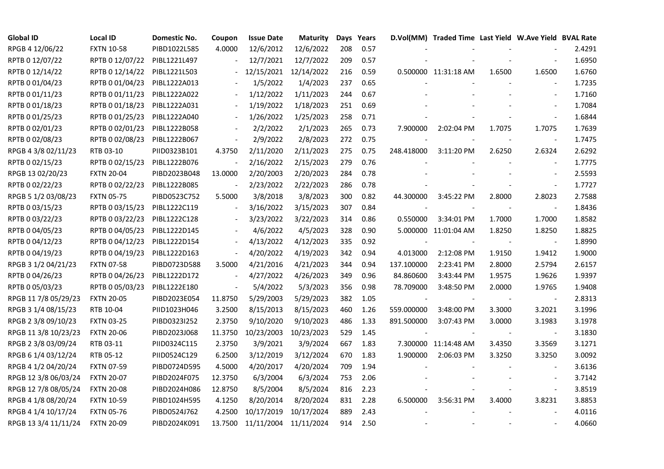| <b>Global ID</b>     | <b>Local ID</b>   | Domestic No. | Coupon                   | <b>Issue Date</b>  | Maturity   |     | Days Years |            | D.Vol(MM) Traded Time Last Yield W.Ave Yield BVAL Rate |        |                          |        |
|----------------------|-------------------|--------------|--------------------------|--------------------|------------|-----|------------|------------|--------------------------------------------------------|--------|--------------------------|--------|
| RPGB 4 12/06/22      | <b>FXTN 10-58</b> | PIBD1022L585 | 4.0000                   | 12/6/2012          | 12/6/2022  | 208 | 0.57       |            |                                                        |        |                          | 2.4291 |
| RPTB 0 12/07/22      | RPTB 0 12/07/22   | PIBL1221L497 |                          | 12/7/2021          | 12/7/2022  | 209 | 0.57       |            |                                                        |        |                          | 1.6950 |
| RPTB 0 12/14/22      | RPTB 0 12/14/22   | PIBL1221L503 |                          | 12/15/2021         | 12/14/2022 | 216 | 0.59       |            | 0.500000 11:31:18 AM                                   | 1.6500 | 1.6500                   | 1.6760 |
| RPTB 0 01/04/23      | RPTB 0 01/04/23   | PIBL1222A013 |                          | 1/5/2022           | 1/4/2023   | 237 | 0.65       |            |                                                        |        | $\overline{\phantom{a}}$ | 1.7235 |
| RPTB 0 01/11/23      | RPTB 0 01/11/23   | PIBL1222A022 |                          | 1/12/2022          | 1/11/2023  | 244 | 0.67       |            |                                                        |        | $\overline{\phantom{a}}$ | 1.7160 |
| RPTB 0 01/18/23      | RPTB 0 01/18/23   | PIBL1222A031 |                          | 1/19/2022          | 1/18/2023  | 251 | 0.69       |            |                                                        |        | $\blacksquare$           | 1.7084 |
| RPTB 0 01/25/23      | RPTB 0 01/25/23   | PIBL1222A040 |                          | 1/26/2022          | 1/25/2023  | 258 | 0.71       |            |                                                        |        | $\blacksquare$           | 1.6844 |
| RPTB 0 02/01/23      | RPTB 0 02/01/23   | PIBL1222B058 |                          | 2/2/2022           | 2/1/2023   | 265 | 0.73       | 7.900000   | 2:02:04 PM                                             | 1.7075 | 1.7075                   | 1.7639 |
| RPTB 0 02/08/23      | RPTB 0 02/08/23   | PIBL1222B067 |                          | 2/9/2022           | 2/8/2023   | 272 | 0.75       |            |                                                        |        | $\overline{a}$           | 1.7475 |
| RPGB 4 3/8 02/11/23  | RTB 03-10         | PIID0323B101 | 4.3750                   | 2/11/2020          | 2/11/2023  | 275 | 0.75       | 248.418000 | 3:11:20 PM                                             | 2.6250 | 2.6324                   | 2.6292 |
| RPTB 0 02/15/23      | RPTB 0 02/15/23   | PIBL1222B076 |                          | 2/16/2022          | 2/15/2023  | 279 | 0.76       |            |                                                        |        | $\blacksquare$           | 1.7775 |
| RPGB 13 02/20/23     | <b>FXTN 20-04</b> | PIBD2023B048 | 13.0000                  | 2/20/2003          | 2/20/2023  | 284 | 0.78       |            |                                                        |        |                          | 2.5593 |
| RPTB 0 02/22/23      | RPTB 0 02/22/23   | PIBL1222B085 |                          | 2/23/2022          | 2/22/2023  | 286 | 0.78       |            |                                                        |        | $\omega$                 | 1.7727 |
| RPGB 5 1/2 03/08/23  | <b>FXTN 05-75</b> | PIBD0523C752 | 5.5000                   | 3/8/2018           | 3/8/2023   | 300 | 0.82       | 44.300000  | 3:45:22 PM                                             | 2.8000 | 2.8023                   | 2.7588 |
| RPTB 0 03/15/23      | RPTB 0 03/15/23   | PIBL1222C119 |                          | 3/16/2022          | 3/15/2023  | 307 | 0.84       |            |                                                        |        | $\blacksquare$           | 1.8436 |
| RPTB 0 03/22/23      | RPTB 0 03/22/23   | PIBL1222C128 |                          | 3/23/2022          | 3/22/2023  | 314 | 0.86       | 0.550000   | 3:34:01 PM                                             | 1.7000 | 1.7000                   | 1.8582 |
| RPTB 0 04/05/23      | RPTB 0 04/05/23   | PIBL1222D145 |                          | 4/6/2022           | 4/5/2023   | 328 | 0.90       |            | 5.000000 11:01:04 AM                                   | 1.8250 | 1.8250                   | 1.8825 |
| RPTB 0 04/12/23      | RPTB 0 04/12/23   | PIBL1222D154 | $\overline{\phantom{a}}$ | 4/13/2022          | 4/12/2023  | 335 | 0.92       |            |                                                        |        | $\blacksquare$           | 1.8990 |
| RPTB 0 04/19/23      | RPTB 0 04/19/23   | PIBL1222D163 |                          | 4/20/2022          | 4/19/2023  | 342 | 0.94       | 4.013000   | 2:12:08 PM                                             | 1.9150 | 1.9412                   | 1.9000 |
| RPGB 3 1/2 04/21/23  | <b>FXTN 07-58</b> | PIBD0723D588 | 3.5000                   | 4/21/2016          | 4/21/2023  | 344 | 0.94       | 137.100000 | 2:23:41 PM                                             | 2.8000 | 2.5794                   | 2.6157 |
| RPTB 0 04/26/23      | RPTB 0 04/26/23   | PIBL1222D172 | $\blacksquare$           | 4/27/2022          | 4/26/2023  | 349 | 0.96       | 84.860600  | 3:43:44 PM                                             | 1.9575 | 1.9626                   | 1.9397 |
| RPTB 0 05/03/23      | RPTB 0 05/03/23   | PIBL1222E180 | $\blacksquare$           | 5/4/2022           | 5/3/2023   | 356 | 0.98       | 78.709000  | 3:48:50 PM                                             | 2.0000 | 1.9765                   | 1.9408 |
| RPGB 11 7/8 05/29/23 | <b>FXTN 20-05</b> | PIBD2023E054 | 11.8750                  | 5/29/2003          | 5/29/2023  | 382 | 1.05       |            |                                                        |        |                          | 2.8313 |
| RPGB 3 1/4 08/15/23  | RTB 10-04         | PIID1023H046 | 3.2500                   | 8/15/2013          | 8/15/2023  | 460 | 1.26       | 559.000000 | 3:48:00 PM                                             | 3.3000 | 3.2021                   | 3.1996 |
| RPGB 2 3/8 09/10/23  | <b>FXTN 03-25</b> | PIBD0323I252 | 2.3750                   | 9/10/2020          | 9/10/2023  | 486 | 1.33       | 891.500000 | 3:07:43 PM                                             | 3.0000 | 3.1983                   | 3.1978 |
| RPGB 11 3/8 10/23/23 | <b>FXTN 20-06</b> | PIBD2023J068 | 11.3750                  | 10/23/2003         | 10/23/2023 | 529 | 1.45       |            |                                                        |        | $\blacksquare$           | 3.1830 |
| RPGB 2 3/8 03/09/24  | RTB 03-11         | PIID0324C115 | 2.3750                   | 3/9/2021           | 3/9/2024   | 667 | 1.83       |            | 7.300000 11:14:48 AM                                   | 3.4350 | 3.3569                   | 3.1271 |
| RPGB 6 1/4 03/12/24  | RTB 05-12         | PIID0524C129 | 6.2500                   | 3/12/2019          | 3/12/2024  | 670 | 1.83       | 1.900000   | 2:06:03 PM                                             | 3.3250 | 3.3250                   | 3.0092 |
| RPGB 4 1/2 04/20/24  | <b>FXTN 07-59</b> | PIBD0724D595 | 4.5000                   | 4/20/2017          | 4/20/2024  | 709 | 1.94       |            |                                                        |        |                          | 3.6136 |
| RPGB 12 3/8 06/03/24 | <b>FXTN 20-07</b> | PIBD2024F075 | 12.3750                  | 6/3/2004           | 6/3/2024   | 753 | 2.06       |            |                                                        |        |                          | 3.7142 |
| RPGB 12 7/8 08/05/24 | <b>FXTN 20-08</b> | PIBD2024H086 | 12.8750                  | 8/5/2004           | 8/5/2024   | 816 | 2.23       |            |                                                        |        | $\blacksquare$           | 3.8519 |
| RPGB 4 1/8 08/20/24  | <b>FXTN 10-59</b> | PIBD1024H595 | 4.1250                   | 8/20/2014          | 8/20/2024  | 831 | 2.28       | 6.500000   | 3:56:31 PM                                             | 3.4000 | 3.8231                   | 3.8853 |
| RPGB 4 1/4 10/17/24  | <b>FXTN 05-76</b> | PIBD0524J762 | 4.2500                   | 10/17/2019         | 10/17/2024 | 889 | 2.43       |            |                                                        |        |                          | 4.0116 |
| RPGB 13 3/4 11/11/24 | <b>FXTN 20-09</b> | PIBD2024K091 |                          | 13.7500 11/11/2004 | 11/11/2024 | 914 | 2.50       |            |                                                        |        |                          | 4.0660 |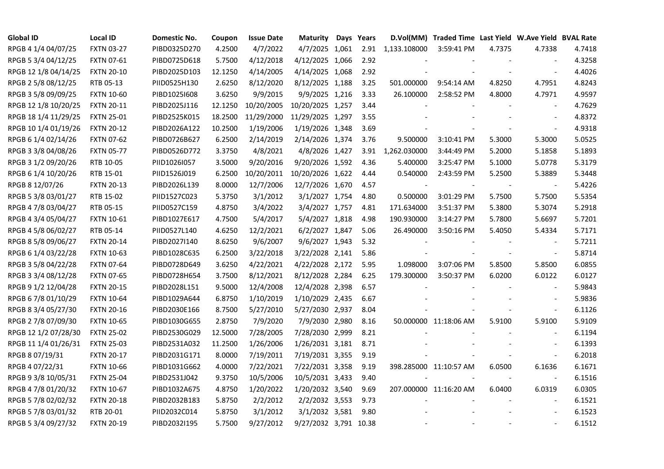| <b>Global ID</b>     | <b>Local ID</b>   | Domestic No. | Coupon  | <b>Issue Date</b> | Maturity              | Days Years |                          | D.Vol(MM) Traded Time Last Yield W.Ave Yield BVAL Rate |        |                          |        |
|----------------------|-------------------|--------------|---------|-------------------|-----------------------|------------|--------------------------|--------------------------------------------------------|--------|--------------------------|--------|
| RPGB 4 1/4 04/07/25  | <b>FXTN 03-27</b> | PIBD0325D270 | 4.2500  | 4/7/2022          | 4/7/2025 1,061        | 2.91       | 1,133.108000             | 3:59:41 PM                                             | 4.7375 | 4.7338                   | 4.7418 |
| RPGB 5 3/4 04/12/25  | <b>FXTN 07-61</b> | PIBD0725D618 | 5.7500  | 4/12/2018         | 4/12/2025 1,066       | 2.92       |                          |                                                        |        |                          | 4.3258 |
| RPGB 12 1/8 04/14/25 | <b>FXTN 20-10</b> | PIBD2025D103 | 12.1250 | 4/14/2005         | 4/14/2025 1,068       | 2.92       |                          |                                                        |        | $\overline{\phantom{a}}$ | 4.4026 |
| RPGB 2 5/8 08/12/25  | RTB 05-13         | PIID0525H130 | 2.6250  | 8/12/2020         | 8/12/2025 1,188       | 3.25       | 501.000000               | 9:54:14 AM                                             | 4.8250 | 4.7951                   | 4.8243 |
| RPGB 3 5/8 09/09/25  | <b>FXTN 10-60</b> | PIBD10251608 | 3.6250  | 9/9/2015          | 9/9/2025 1,216        | 3.33       | 26.100000                | 2:58:52 PM                                             | 4.8000 | 4.7971                   | 4.9597 |
| RPGB 12 1/8 10/20/25 | <b>FXTN 20-11</b> | PIBD2025J116 | 12.1250 | 10/20/2005        | 10/20/2025 1,257      | 3.44       |                          |                                                        |        | $\overline{\phantom{a}}$ | 4.7629 |
| RPGB 18 1/4 11/29/25 | <b>FXTN 25-01</b> | PIBD2525K015 | 18.2500 | 11/29/2000        | 11/29/2025 1,297      | 3.55       |                          |                                                        |        | $\overline{\phantom{a}}$ | 4.8372 |
| RPGB 10 1/4 01/19/26 | <b>FXTN 20-12</b> | PIBD2026A122 | 10.2500 | 1/19/2006         | 1/19/2026 1,348       | 3.69       |                          |                                                        |        | $\sim$                   | 4.9318 |
| RPGB 6 1/4 02/14/26  | <b>FXTN 07-62</b> | PIBD0726B627 | 6.2500  | 2/14/2019         | 2/14/2026 1,374       | 3.76       | 9.500000                 | 3:10:41 PM                                             | 5.3000 | 5.3000                   | 5.0525 |
| RPGB 3 3/8 04/08/26  | <b>FXTN 05-77</b> | PIBD0526D772 | 3.3750  | 4/8/2021          | 4/8/2026 1,427        | 3.91       | 1,262.030000             | 3:44:49 PM                                             | 5.2000 | 5.1858                   | 5.1893 |
| RPGB 3 1/2 09/20/26  | RTB 10-05         | PIID1026I057 | 3.5000  | 9/20/2016         | 9/20/2026 1,592       | 4.36       | 5.400000                 | 3:25:47 PM                                             | 5.1000 | 5.0778                   | 5.3179 |
| RPGB 6 1/4 10/20/26  | RTB 15-01         | PIID1526J019 | 6.2500  | 10/20/2011        | 10/20/2026 1,622      | 4.44       | 0.540000                 | 2:43:59 PM                                             | 5.2500 | 5.3889                   | 5.3448 |
| RPGB 8 12/07/26      | <b>FXTN 20-13</b> | PIBD2026L139 | 8.0000  | 12/7/2006         | 12/7/2026 1,670       | 4.57       | $\overline{\phantom{a}}$ |                                                        |        | $\blacksquare$           | 5.4226 |
| RPGB 5 3/8 03/01/27  | RTB 15-02         | PIID1527C023 | 5.3750  | 3/1/2012          | 3/1/2027 1,754        | 4.80       | 0.500000                 | 3:01:29 PM                                             | 5.7500 | 5.7500                   | 5.5354 |
| RPGB 4 7/8 03/04/27  | RTB 05-15         | PIID0527C159 | 4.8750  | 3/4/2022          | 3/4/2027 1,757        | 4.81       | 171.634000               | 3:51:37 PM                                             | 5.3800 | 5.3074                   | 5.2918 |
| RPGB 4 3/4 05/04/27  | <b>FXTN 10-61</b> | PIBD1027E617 | 4.7500  | 5/4/2017          | 5/4/2027 1,818        | 4.98       | 190.930000               | 3:14:27 PM                                             | 5.7800 | 5.6697                   | 5.7201 |
| RPGB 4 5/8 06/02/27  | RTB 05-14         | PIID0527L140 | 4.6250  | 12/2/2021         | 6/2/2027 1,847        | 5.06       | 26.490000                | 3:50:16 PM                                             | 5.4050 | 5.4334                   | 5.7171 |
| RPGB 8 5/8 09/06/27  | <b>FXTN 20-14</b> | PIBD2027I140 | 8.6250  | 9/6/2007          | 9/6/2027 1,943        | 5.32       |                          |                                                        |        | $\overline{\phantom{a}}$ | 5.7211 |
| RPGB 6 1/4 03/22/28  | <b>FXTN 10-63</b> | PIBD1028C635 | 6.2500  | 3/22/2018         | 3/22/2028 2,141       | 5.86       |                          |                                                        |        | $\overline{\phantom{a}}$ | 5.8714 |
| RPGB 3 5/8 04/22/28  | <b>FXTN 07-64</b> | PIBD0728D649 | 3.6250  | 4/22/2021         | 4/22/2028 2,172       | 5.95       | 1.098000                 | 3:07:06 PM                                             | 5.8500 | 5.8500                   | 6.0855 |
| RPGB 3 3/4 08/12/28  | <b>FXTN 07-65</b> | PIBD0728H654 | 3.7500  | 8/12/2021         | 8/12/2028 2,284       | 6.25       | 179.300000               | 3:50:37 PM                                             | 6.0200 | 6.0122                   | 6.0127 |
| RPGB 9 1/2 12/04/28  | <b>FXTN 20-15</b> | PIBD2028L151 | 9.5000  | 12/4/2008         | 12/4/2028 2,398       | 6.57       |                          |                                                        |        | $\overline{\phantom{a}}$ | 5.9843 |
| RPGB 67/8 01/10/29   | <b>FXTN 10-64</b> | PIBD1029A644 | 6.8750  | 1/10/2019         | 1/10/2029 2,435       | 6.67       |                          |                                                        |        |                          | 5.9836 |
| RPGB 8 3/4 05/27/30  | <b>FXTN 20-16</b> | PIBD2030E166 | 8.7500  | 5/27/2010         | 5/27/2030 2,937       | 8.04       |                          |                                                        |        | $\overline{\phantom{a}}$ | 6.1126 |
| RPGB 2 7/8 07/09/30  | <b>FXTN 10-65</b> | PIBD1030G655 | 2.8750  | 7/9/2020          | 7/9/2030 2,980        | 8.16       |                          | 50.000000 11:18:06 AM                                  | 5.9100 | 5.9100                   | 5.9109 |
| RPGB 12 1/2 07/28/30 | <b>FXTN 25-02</b> | PIBD2530G029 | 12.5000 | 7/28/2005         | 7/28/2030 2,999       | 8.21       |                          |                                                        |        | $\sim$                   | 6.1194 |
| RPGB 11 1/4 01/26/31 | <b>FXTN 25-03</b> | PIBD2531A032 | 11.2500 | 1/26/2006         | 1/26/2031 3,181       | 8.71       |                          |                                                        |        | $\overline{\phantom{a}}$ | 6.1393 |
| RPGB 8 07/19/31      | <b>FXTN 20-17</b> | PIBD2031G171 | 8.0000  | 7/19/2011         | 7/19/2031 3,355       | 9.19       |                          |                                                        |        | $\overline{a}$           | 6.2018 |
| RPGB 4 07/22/31      | <b>FXTN 10-66</b> | PIBD1031G662 | 4.0000  | 7/22/2021         | 7/22/2031 3,358       | 9.19       |                          | 398.285000 11:10:57 AM                                 | 6.0500 | 6.1636                   | 6.1671 |
| RPGB 9 3/8 10/05/31  | <b>FXTN 25-04</b> | PIBD2531J042 | 9.3750  | 10/5/2006         | 10/5/2031 3,433       | 9.40       |                          |                                                        |        |                          | 6.1516 |
| RPGB 4 7/8 01/20/32  | <b>FXTN 10-67</b> | PIBD1032A675 | 4.8750  | 1/20/2022         | 1/20/2032 3,540       | 9.69       |                          | 207.000000 11:16:20 AM                                 | 6.0400 | 6.0319                   | 6.0305 |
| RPGB 5 7/8 02/02/32  | <b>FXTN 20-18</b> | PIBD2032B183 | 5.8750  | 2/2/2012          | 2/2/2032 3,553        | 9.73       |                          |                                                        |        | $\overline{\phantom{a}}$ | 6.1521 |
| RPGB 5 7/8 03/01/32  | RTB 20-01         | PIID2032C014 | 5.8750  | 3/1/2012          | 3/1/2032 3,581        | 9.80       |                          |                                                        |        |                          | 6.1523 |
| RPGB 5 3/4 09/27/32  | <b>FXTN 20-19</b> | PIBD2032I195 | 5.7500  | 9/27/2012         | 9/27/2032 3,791 10.38 |            |                          |                                                        |        | $\sim$                   | 6.1512 |